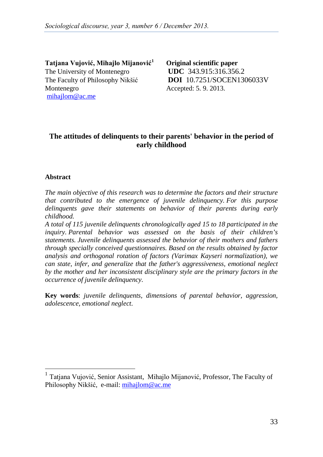**Tatjana Vujović, Mihajlo Mijanović[1](#page-0-0) Original scientific paper** The University of Montenegro **UDC** 343.915:316.356.2 The Faculty of Philosophy Nikšić **DOI** 10.7251/SOCEN1306033V Montenegro Accepted: 5.9.2013. mihajlom@ac.me

# **The attitudes of delinquents to their parents' behavior in the period of early childhood**

## **Abstract**

*The main objective of this research was to determine the factors and their structure that contributed to the emergence of juvenile delinquency. For this purpose delinquents gave their statements on behavior of their parents during early childhood.*

*A total of 115 juvenile delinquents chronologically aged 15 to 18 participated in the inquiry. Parental behavior was assessed on the basis of their children's statements. Juvenile delinquents assessed the behavior of their mothers and fathers through specially conceived questionnaires. Based on the results obtained by factor analysis and orthogonal rotation of factors (Varimax Kayseri normalization), we can state, infer, and generalize that the father's aggressiveness, emotional neglect by the mother and her inconsistent disciplinary style are the primary factors in the occurrence of juvenile delinquency.*

**Key words**: *juvenile delinquents, dimensions of parental behavior, aggression, adolescence, emotional neglect*.

<span id="page-0-0"></span><sup>&</sup>lt;sup>1</sup> Tatjana Vujović, Senior Assistant, Mihajlo Mijanović, Professor, The Faculty of Philosophy Nikšić, e-mail: mihajlom@ac.me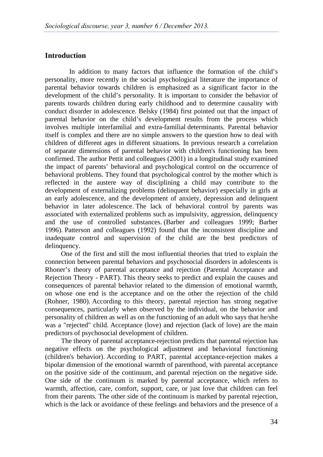## **Introduction**

In addition to many factors that influence the formation of the child's personality, more recently in the social psychological literature the importance of parental behavior towards children is emphasized as a significant factor in the development of the child's personality. It is important to consider the behavior of parents towards children during early childhood and to determine causality with conduct disorder in adolescence. Belsky (1984) first pointed out that the impact of parental behavior on the child's development results from the process which involves multiple interfamilial and extra-familial determinants. Parental behavior itself is complex and there are no simple answers to the question how to deal with children of different ages in different situations. In previous research a correlation of separate dimensions of parental behavior with children's functioning has been confirmed. The author Pettit and colleagues (2001) in a longitudinal study examined the impact of parents' behavioral and psychological control on the occurrence of behavioral problems. They found that psychological control by the mother which is reflected in the austere way of disciplining a child may contribute to the development of externalizing problems (delinquent behavior) especially in girls at an early adolescence, and the development of anxiety, depression and delinquent behavior in later adolescence. The lack of behavioral control by parents was associated with externalized problems such as impulsivity, aggression, delinquency and the use of controlled substances. (Barber and colleagues 1999; Barber 1996). Patterson and colleagues (1992) found that the inconsistent discipline and inadequate control and supervision of the child are the best predictors of delinquency.

One of the first and still the most influential theories that tried to explain the connection between parental behaviors and psychosocial disorders in adolescents is Rhoner's theory of parental acceptance and rejection (Parental Acceptance and Rejection Theory - PART). This theory seeks to predict and explain the causes and consequences of parental behavior related to the dimension of emotional warmth, on whose one end is the acceptance and on the other the rejection of the child (Rohner, 1980). According to this theory, parental rejection has strong negative consequences, particularly when observed by the individual, on the behavior and personality of children as well as on the functioning of an adult who says that he/she was a "rejected" child. Acceptance (love) and rejection (lack of love) are the main predictors of psychosocial development of children.

The theory of parental acceptance-rejection predicts that parental rejection has negative effects on the psychological adjustment and behavioral functioning (children's behavior). According to PART, parental acceptance-rejection makes a bipolar dimension of the emotional warmth of parenthood, with parental acceptance on the positive side of the continuum, and parental rejection on the negative side. One side of the continuum is marked by parental acceptance, which refers to warmth, affection, care, comfort, support, care, or just love that children can feel from their parents. The other side of the continuum is marked by parental rejection, which is the lack or avoidance of these feelings and behaviors and the presence of a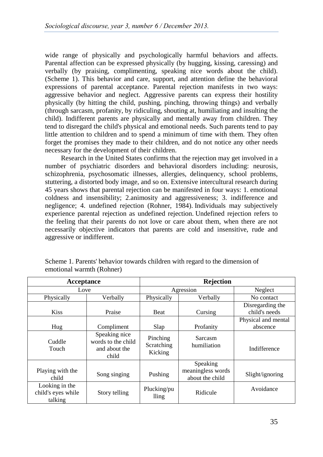wide range of physically and psychologically harmful behaviors and affects. Parental affection can be expressed physically (by hugging, kissing, caressing) and verbally (by praising, complimenting, speaking nice words about the child). (Scheme 1). This behavior and care, support, and attention define the behavioral expressions of parental acceptance. Parental rejection manifests in two ways: aggressive behavior and neglect. Aggressive parents can express their hostility physically (by hitting the child, pushing, pinching, throwing things) and verbally (through sarcasm, profanity, by ridiculing, shouting at, humiliating and insulting the child). Indifferent parents are physically and mentally away from children. They tend to disregard the child's physical and emotional needs. Such parents tend to pay little attention to children and to spend a minimum of time with them. They often forget the promises they made to their children, and do not notice any other needs necessary for the development of their children.

Research in the United States confirms that the rejection may get involved in a number of psychiatric disorders and behavioral disorders including: neurosis, schizophrenia, psychosomatic illnesses, allergies, delinquency, school problems, stuttering, a distorted body image, and so on. Extensive intercultural research during 45 years shows that parental rejection can be manifested in four ways: 1. emotional coldness and insensibility; 2.animosity and aggressiveness; 3. indifference and negligence; 4. undefined rejection (Rohner, 1984). Individuals may subjectively experience parental rejection as undefined rejection. Undefined rejection refers to the feeling that their parents do not love or care about them, when there are not necessarily objective indicators that parents are cold and insensitive, rude and aggressive or indifferent.

| Acceptance                                      |                                                               | <b>Rejection</b>                  |                                                  |                                   |  |
|-------------------------------------------------|---------------------------------------------------------------|-----------------------------------|--------------------------------------------------|-----------------------------------|--|
| Love                                            |                                                               | Agression                         |                                                  | Neglect                           |  |
| Physically                                      | Verbally                                                      | Physically                        | Verbally                                         | No contact                        |  |
| <b>Kiss</b>                                     | Praise                                                        | <b>Beat</b>                       | Cursing                                          | Disregarding the<br>child's needs |  |
| Hug                                             | Compliment                                                    | Slap                              | Profanity                                        | Physical and mental<br>abscence   |  |
| Cuddle<br>Touch                                 | Speaking nice<br>words to the child<br>and about the<br>child | Pinching<br>Scratching<br>Kicking | Sarcasm<br>humiliation                           | Indifference                      |  |
| Playing with the<br>child                       | Song singing                                                  | Pushing                           | Speaking<br>meaningless words<br>about the child | Slight/ignoring                   |  |
| Looking in the<br>child's eyes while<br>talking | Story telling                                                 | Plucking/pu<br>lling              | Ridicule                                         | Avoidance                         |  |

Scheme 1. Parents' behavior towards children with regard to the dimension of emotional warmth (Rohner)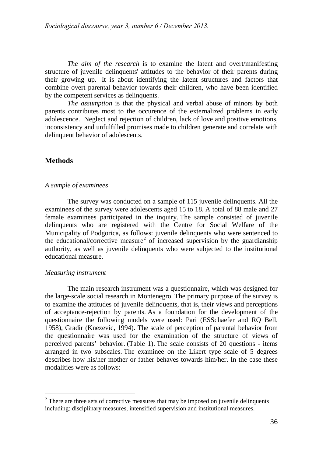*The aim of the research* is to examine the latent and overt/manifesting structure of juvenile delinquents' attitudes to the behavior of their parents during their growing up. It is about identifying the latent structures and factors that combine overt parental behavior towards their children, who have been identified by the competent services as delinquents.

*The assumption* is that the physical and verbal abuse of minors by both parents contributes most to the occurence of the externalized problems in early adolescence. Neglect and rejection of children, lack of love and positive emotions, inconsistency and unfulfilled promises made to children generate and correlate with delinquent behavior of adolescents.

## **Methods**

#### *A sample of examinees*

The survey was conducted on a sample of 115 juvenile delinquents. All the examinees of the survey were adolescents aged 15 to 18. A total of 88 male and 27 female examinees participated in the inquiry. The sample consisted of juvenile delinquents who are registered with the Centre for Social Welfare of the Municipality of Podgorica, as follows: juvenile delinquents who were sentenced to the educational/corrective measure<sup>[2](#page-3-0)</sup> of increased supervision by the guardianship authority, as well as juvenile delinquents who were subjected to the institutional educational measure.

#### *Measuring instrument*

The main research instrument was a questionnaire, which was designed for the large-scale social research in Montenegro. The primary purpose of the survey is to examine the attitudes of juvenile delinquents, that is, their views and perceptions of acceptance-rejection by parents. As a foundation for the development of the questionnaire the following models were used: Pari (ESSchaefer and RQ Bell, 1958), Gradir (Knezevic, 1994). The scale of perception of parental behavior from the questionnaire was used for the examination of the structure of views of perceived parents' behavior. (Table 1). The scale consists of 20 questions - items arranged in two subscales. The examinee on the Likert type scale of 5 degrees describes how his/her mother or father behaves towards him/her. In the case these modalities were as follows:

<span id="page-3-0"></span> $2$  There are three sets of corrective measures that may be imposed on juvenile delinquents including: disciplinary measures, intensified supervision and institutional measures.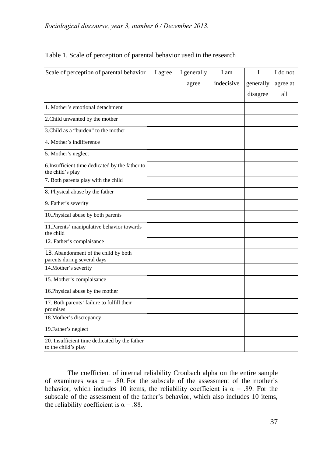| Scale of perception of parental behavior                             | I agree | I generally | I am       | T         | I do not |
|----------------------------------------------------------------------|---------|-------------|------------|-----------|----------|
|                                                                      |         | agree       | indecisive | generally | agree at |
|                                                                      |         |             |            | disagree  | all      |
| 1. Mother's emotional detachment                                     |         |             |            |           |          |
| 2. Child unwanted by the mother                                      |         |             |            |           |          |
| 3.Child as a "burden" to the mother                                  |         |             |            |           |          |
| 4. Mother's indifference                                             |         |             |            |           |          |
| 5. Mother's neglect                                                  |         |             |            |           |          |
| 6.Insufficient time dedicated by the father to<br>the child's play   |         |             |            |           |          |
| 7. Both parents play with the child                                  |         |             |            |           |          |
| 8. Physical abuse by the father                                      |         |             |            |           |          |
| 9. Father's severity                                                 |         |             |            |           |          |
| 10. Physical abuse by both parents                                   |         |             |            |           |          |
| 11. Parents' manipulative behavior towards<br>the child              |         |             |            |           |          |
| 12. Father's complaisance                                            |         |             |            |           |          |
| 13. Abandonment of the child by both<br>parents during several days  |         |             |            |           |          |
| 14. Mother's severity                                                |         |             |            |           |          |
| 15. Mother's complaisance                                            |         |             |            |           |          |
| 16. Physical abuse by the mother                                     |         |             |            |           |          |
| 17. Both parents' failure to fulfill their<br>promises               |         |             |            |           |          |
| 18. Mother's discrepancy                                             |         |             |            |           |          |
| 19. Father's neglect                                                 |         |             |            |           |          |
| 20. Insufficient time dedicated by the father<br>to the child's play |         |             |            |           |          |

## Table 1. Scale of perception of parental behavior used in the research

The coefficient of internal reliability Cronbach alpha on the entire sample of examinees was  $\alpha = .80$ . For the subscale of the assessment of the mother's behavior, which includes 10 items, the reliability coefficient is  $\alpha = .89$ . For the subscale of the assessment of the father's behavior, which also includes 10 items, the reliability coefficient is  $\alpha$  = .88.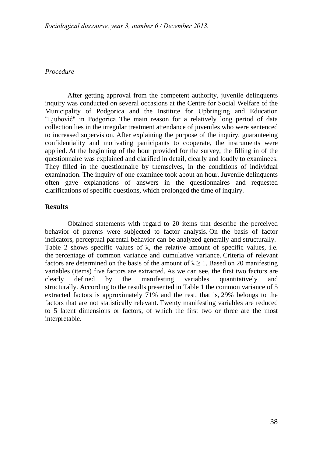## *Procedure*

After getting approval from the competent authority, juvenile delinquents inquiry was conducted on several occasions at the Centre for Social Welfare of the Municipality of Podgorica and the Institute for Upbringing and Education "Ljubović" in Podgorica. The main reason for a relatively long period of data collection lies in the irregular treatment attendance of juveniles who were sentenced to increased supervision. After explaining the purpose of the inquiry, guaranteeing confidentiality and motivating participants to cooperate, the instruments were applied. At the beginning of the hour provided for the survey, the filling in of the questionnaire was explained and clarified in detail, clearly and loudly to examinees. They filled in the questionnaire by themselves, in the conditions of individual examination. The inquiry of one examinee took about an hour. Juvenile delinquents often gave explanations of answers in the questionnaires and requested clarifications of specific questions, which prolonged the time of inquiry.

## **Results**

Obtained statements with regard to 20 items that describe the perceived behavior of parents were subjected to factor analysis. On the basis of factor indicators, perceptual parental behavior can be analyzed generally and structurally. Table 2 shows specific values of  $\lambda$ , the relative amount of specific values, i.e. the percentage of common variance and cumulative variance. Criteria of relevant factors are determined on the basis of the amount of  $\lambda \ge 1$ . Based on 20 manifesting variables (items) five factors are extracted. As we can see, the first two factors are clearly defined by the manifesting variables quantitatively and structurally. According to the results presented in Table 1 the common variance of 5 extracted factors is approximately 71% and the rest, that is, 29% belongs to the factors that are not statistically relevant. Twenty manifesting variables are reduced to 5 latent dimensions or factors, of which the first two or three are the most interpretable.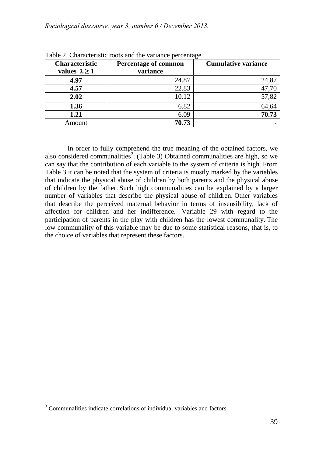| <b>Characteristic</b><br>values $\lambda \geq 1$ | Percentage of common<br>variance | <b>Cumulative variance</b> |
|--------------------------------------------------|----------------------------------|----------------------------|
| 4.97                                             | 24.87                            | 24,87                      |
| 4.57                                             | 22.83                            | 47,70                      |
| 2.02                                             | 10.12                            | 57,82                      |
| 1.36                                             | 6.82                             | 64,64                      |
| 1.21                                             | 6.09                             | 70.73                      |
| Amount                                           | 70.73                            |                            |

Table 2. Characteristic roots and the variance percentage

In order to fully comprehend the true meaning of the obtained factors, we also considered communalities<sup>[3](#page-6-0)</sup>. (Table 3) Obtained communalities are high, so we can say that the contribution of each variable to the system of criteria is high. From Table 3 it can be noted that the system of criteria is mostly marked by the variables that indicate the physical abuse of children by both parents and the physical abuse of children by the father. Such high communalities can be explained by a larger number of variables that describe the physical abuse of children. Other variables that describe the perceived maternal behavior in terms of insensibility, lack of affection for children and her indifference. Variable 29 with regard to the participation of parents in the play with children has the lowest communality. The low communality of this variable may be due to some statistical reasons, that is, to the choice of variables that represent these factors.

<span id="page-6-0"></span> $3 \text{ Communalities indicate correlations of individual variables and factors}$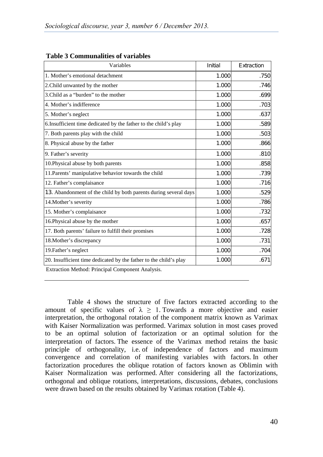| Variables                                                         | Initial | Extraction |  |
|-------------------------------------------------------------------|---------|------------|--|
| 1. Mother's emotional detachment                                  | 1.000   | .750       |  |
| 2. Child unwanted by the mother                                   | 1.000   | .746       |  |
| 3. Child as a "burden" to the mother                              | 1.000   | .699       |  |
| 4. Mother's indifference                                          | 1.000   | .703       |  |
| 5. Mother's neglect                                               | 1.000   | .637       |  |
| 6. Insufficient time dedicated by the father to the child's play  | 1.000   | .589       |  |
| 7. Both parents play with the child                               | 1.000   | .503       |  |
| 8. Physical abuse by the father                                   | 1.000   | .866       |  |
| 9. Father's severity                                              | 1.000   | .810       |  |
| 10. Physical abuse by both parents                                | 1.000   | .858       |  |
| 11. Parents' manipulative behavior towards the child              | 1.000   | .739       |  |
| 12. Father's complaisance                                         | 1.000   | .716       |  |
| 13. Abandonment of the child by both parents during several days  | 1.000   | .529       |  |
| 14. Mother's severity                                             | 1.000   | .786       |  |
| 15. Mother's complaisance                                         | 1.000   | .732       |  |
| 16. Physical abuse by the mother                                  | 1.000   | .657       |  |
| 17. Both parents' failure to fulfill their promises               | 1.000   | .728       |  |
| 18. Mother's discrepancy                                          | 1.000   | .731       |  |
| 19. Father's neglect                                              | 1.000   | .704       |  |
| 20. Insufficient time dedicated by the father to the child's play | 1.000   | .671       |  |
| Extraction Method: Principal Component Analysis.                  |         |            |  |

#### **Table 3 Communalities of variables**

Table 4 shows the structure of five factors extracted according to the amount of specific values of  $\lambda \geq 1$ . Towards a more objective and easier interpretation, the orthogonal rotation of the component matrix known as Varimax with Kaiser Normalization was performed. Varimax solution in most cases proved to be an optimal solution of factorization or an optimal solution for the interpretation of factors. The essence of the Varimax method retains the basic principle of orthogonality, i.e. of independence of factors and maximum convergence and correlation of manifesting variables with factors. In other factorization procedures the oblique rotation of factors known as Oblimin with Kaiser Normalization was performed. After considering all the factorizations, orthogonal and oblique rotations, interpretations, discussions, debates, conclusions were drawn based on the results obtained by Varimax rotation (Table 4).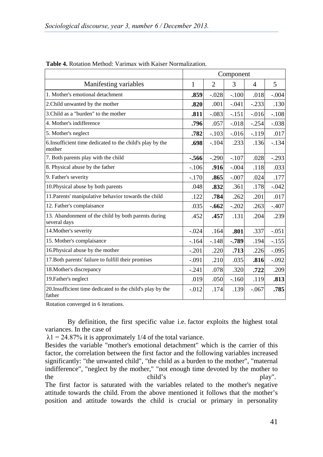|                                                                      | Component |                |          |                |         |
|----------------------------------------------------------------------|-----------|----------------|----------|----------------|---------|
| Manifesting variables                                                | 1         | $\overline{2}$ | 3        | $\overline{4}$ | 5       |
| 1. Mother's emotional detachment                                     | .859      | $-.028$        | $-.100$  | .018           | $-.004$ |
| 2. Child unwanted by the mother                                      | .820      | .001           | $-.041$  | $-.233$        | .130    |
| 3. Child as a "burden" to the mother                                 | .811      | $-.083$        | $-.151$  | $-.016$        | $-.108$ |
| 4. Mother's indifference                                             | .796      | .057           | $-.018$  | $-.254$        | $-.038$ |
| 5. Mother's neglect                                                  | .782      | $-.103$        | $-0.016$ | $-.119$        | .017    |
| 6. Insufficient time dedicated to the child's play by the<br>mother  | .698      | $-.104$        | .233     | .136           | $-.134$ |
| 7. Both parents play with the child                                  | -.566     | $-.290$        | $-.107$  | .028           | $-.293$ |
| 8. Physical abuse by the father                                      | $-.106$   | .916           | $-.004$  | .118           | .033    |
| 9. Father's severity                                                 | $-.170$   | .865           | $-.007$  | .024           | .177    |
| 10. Physical abuse by both parents                                   | .048      | .832           | .361     | .178           | $-.042$ |
| 11. Parents' manipulative behavior towards the child                 | .122      | .784           | .262     | .201           | .017    |
| 12. Father's complaisance                                            | .035      | $-.662$        | $-.202$  | .263           | $-.407$ |
| 13. Abandonment of the child by both parents during<br>several days  | .452      | .457           | .131     | .204           | .239    |
| 14. Mother's severity                                                | $-.024$   | .164           | .801     | .337           | $-.051$ |
| 15. Mother's complaisance                                            | $-164$    | $-.148$        | $-0.789$ | .194           | $-.155$ |
| 16. Physical abuse by the mother                                     | $-.201$   | .220           | .713     | .226           | $-.095$ |
| 17. Both parents' failure to fulfill their promises                  | $-.091$   | .210           | .035     | .816           | $-.092$ |
| 18. Mother's discrepancy                                             | $-.241$   | .078           | .320     | .722           | .209    |
| 19. Father's neglect                                                 | .019      | .050           | $-.160$  | .119           | .813    |
| 20. Insufficient time dedicated to the child's play by the<br>father | $-.012$   | .174           | .139     | $-.067$        | .785    |

| <b>Table 4.</b> Rotation Method: Varimax with Kaiser Normalization. |  |  |  |
|---------------------------------------------------------------------|--|--|--|
|---------------------------------------------------------------------|--|--|--|

Rotation converged in 6 iterations.

By definition, the first specific value i.e. factor exploits the highest total variances. In the case of

 $\lambda$ 1 = 24.87% it is approximately 1/4 of the total variance.

Besides the variable "mother's emotional detachment" which is the carrier of this factor, the correlation between the first factor and the following variables increased significantly: "the unwanted child", "the child as a burden to the mother", "maternal indifference", "neglect by the mother," "not enough time devoted by the mother to the child's play". The first factor is saturated with the variables related to the mother's negative

attitude towards the child. From the above mentioned it follows that the mother's position and attitude towards the child is crucial or primary in personality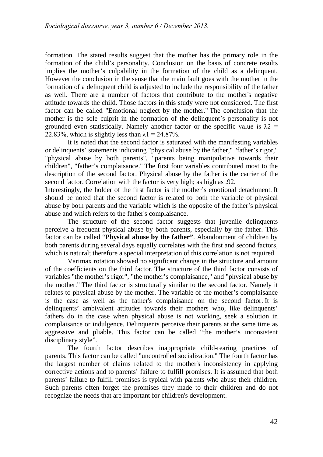formation. The stated results suggest that the mother has the primary role in the formation of the child's personality. Conclusion on the basis of concrete results implies the mother's culpability in the formation of the child as a delinquent. However the conclusion in the sense that the main fault goes with the mother in the formation of a delinquent child is adjusted to include the responsibility of the father as well. There are a number of factors that contribute to the mother's negative attitude towards the child. Those factors in this study were not considered. The first factor can be called "Emotional neglect by the mother." The conclusion that the mother is the sole culprit in the formation of the delinquent's personality is not grounded even statistically. Namely another factor or the specific value is  $\lambda$ 2 = 22.83%, which is slightly less than  $\lambda$ 1 = 24.87%.

It is noted that the second factor is saturated with the manifesting variables or delinquents' statements indicating "physical abuse by the father," "father's rigor," "physical abuse by both parents", "parents being manipulative towards their children", "father's complaisance." The first four variables contributed most to the description of the second factor. Physical abuse by the father is the carrier of the second factor. Correlation with the factor is very high; as high as .92.

Interestingly, the holder of the first factor is the mother's emotional detachment. It should be noted that the second factor is related to both the variable of physical abuse by both parents and the variable which is the opposite of the father's physical abuse and which refers to the father's complaisance.

The structure of the second factor suggests that juvenile delinquents perceive a frequent physical abuse by both parents, especially by the father. This factor can be called "**Physical abuse by the father"**. Abandonment of children by both parents during several days equally correlates with the first and second factors, which is natural; therefore a special interpretation of this correlation is not required.

Varimax rotation showed no significant change in the structure and amount of the coefficients on the third factor. The structure of the third factor consists of variables "the mother's rigor", "the mother's complaisance," and "physical abuse by the mother." The third factor is structurally similar to the second factor. Namely it relates to physical abuse by the mother. The variable of the mother's complaisance is the case as well as the father's complaisance on the second factor. It is delinquents' ambivalent attitudes towards their mothers who, like delinquents' fathers do in the case when physical abuse is not working, seek a solution in complaisance or indulgence. Delinquents perceive their parents at the same time as aggressive and pliable. This factor can be called "the mother's inconsistent disciplinary style".

The fourth factor describes inappropriate child-rearing practices of parents. This factor can be called "uncontrolled socialization." The fourth factor has the largest number of claims related to the mother's inconsistency in applying corrective actions and to parents' failure to fulfill promises. It is assumed that both parents' failure to fulfill promises is typical with parents who abuse their children. Such parents often forget the promises they made to their children and do not recognize the needs that are important for children's development.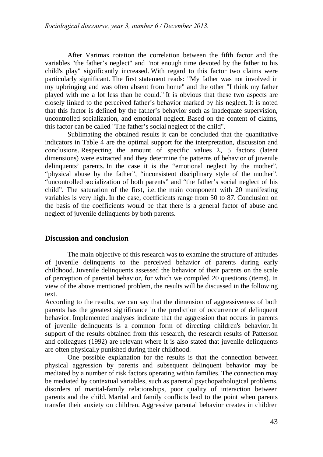After Varimax rotation the correlation between the fifth factor and the variables "the father's neglect" and "not enough time devoted by the father to his child's play" significantly increased. With regard to this factor two claims were particularly significant. The first statement reads: "My father was not involved in my upbringing and was often absent from home" and the other "I think my father played with me a lot less than he could." It is obvious that these two aspects are closely linked to the perceived father's behavior marked by his neglect. It is noted that this factor is defined by the father's behavior such as inadequate supervision, uncontrolled socialization, and emotional neglect. Based on the content of claims, this factor can be called "The father's social neglect of the child".

Sublimating the obtained results it can be concluded that the quantitative indicators in Table 4 are the optimal support for the interpretation, discussion and conclusions. Respecting the amount of specific values  $\lambda$ , 5 factors (latent dimensions) were extracted and they determine the patterns of behavior of juvenile delinquents' parents. In the case it is the "emotional neglect by the mother", "physical abuse by the father", "inconsistent disciplinary style of the mother", "uncontrolled socialization of both parents" and "the father's social neglect of his child". The saturation of the first, i.e. the main component with 20 manifesting variables is very high. In the case, coefficients range from 50 to 87. Conclusion on the basis of the coefficients would be that there is a general factor of abuse and neglect of juvenile delinquents by both parents.

## **Discussion and conclusion**

The main objective of this research was to examine the structure of attitudes of juvenile delinquents to the perceived behavior of parents during early childhood. Juvenile delinquents assessed the behavior of their parents on the scale of perception of parental behavior, for which we compiled 20 questions (items). In view of the above mentioned problem, the results will be discussed in the following text.

According to the results, we can say that the dimension of aggressiveness of both parents has the greatest significance in the prediction of occurrence of delinquent behavior. Implemented analyses indicate that the aggression that occurs in parents of juvenile delinquents is a common form of directing children's behavior. In support of the results obtained from this research, the research results of Patterson and colleagues (1992) are relevant where it is also stated that juvenile delinquents are often physically punished during their childhood.

One possible explanation for the results is that the connection between physical aggression by parents and subsequent delinquent behavior may be mediated by a number of risk factors operating within families. The connection may be mediated by contextual variables, such as parental psychopathological problems, disorders of marital-family relationships, poor quality of interaction between parents and the child. Marital and family conflicts lead to the point when parents transfer their anxiety on children. Aggressive parental behavior creates in children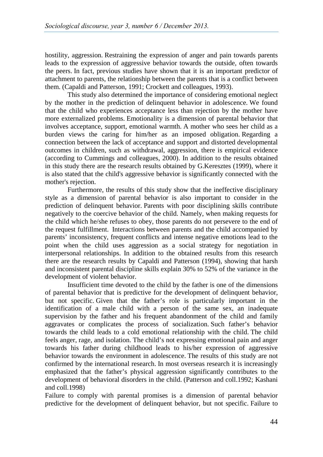hostility, aggression. Restraining the expression of anger and pain towards parents leads to the expression of aggressive behavior towards the outside, often towards the peers. In fact, previous studies have shown that it is an important predictor of attachment to parents, the relationship between the parents that is a conflict between them. (Capaldi and Patterson, 1991; Crockett and colleagues, 1993).

This study also determined the importance of considering emotional neglect by the mother in the prediction of delinquent behavior in adolescence. We found that the child who experiences acceptance less than rejection by the mother have more externalized problems. Emotionality is a dimension of parental behavior that involves acceptance, support, emotional warmth. A mother who sees her child as a burden views the caring for him/her as an imposed obligation. Regarding a connection between the lack of acceptance and support and distorted developmental outcomes in children, such as withdrawal, aggression, there is empirical evidence (according to Cummings and colleagues, 2000). In addition to the results obtained in this study there are the research results obtained by G.Keresztes (1999), where it is also stated that the child's aggressive behavior is significantly connected with the mother's rejection.

Furthermore, the results of this study show that the ineffective disciplinary style as a dimension of parental behavior is also important to consider in the prediction of delinquent behavior. Parents with poor disciplining skills contribute negatively to the coercive behavior of the child. Namely, when making requests for the child which he/she refuses to obey, those parents do not persevere to the end of the request fulfillment. Interactions between parents and the child accompanied by parents' inconsistency, frequent conflicts and intense negative emotions lead to the point when the child uses aggression as a social strategy for negotiation in interpersonal relationships. In addition to the obtained results from this research there are the research results by Capaldi and Patterson (1994), showing that harsh and inconsistent parental discipline skills explain 30% to 52% of the variance in the development of violent behavior.

Insufficient time devoted to the child by the father is one of the dimensions of parental behavior that is predictive for the development of delinquent behavior, but not specific. Given that the father's role is particularly important in the identification of a male child with a person of the same sex, an inadequate supervision by the father and his frequent abandonment of the child and family aggravates or complicates the process of socialization. Such father's behavior towards the child leads to a cold emotional relationship with the child. The child feels anger, rage, and isolation. The child's not expressing emotional pain and anger towards his father during childhood leads to his/her expression of aggressive behavior towards the environment in adolescence. The results of this study are not confirmed by the international research. In most overseas research it is increasingly emphasized that the father's physical aggression significantly contributes to the development of behavioral disorders in the child. (Patterson and coll.1992; Kashani and coll.1998)

Failure to comply with parental promises is a dimension of parental behavior predictive for the development of delinquent behavior, but not specific. Failure to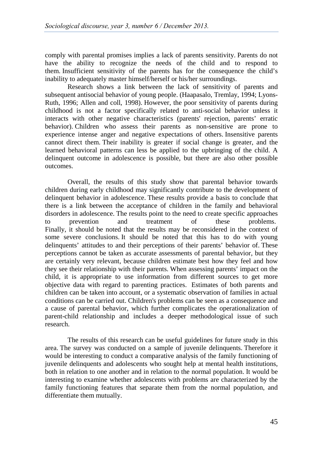comply with parental promises implies a lack of parents sensitivity. Parents do not have the ability to recognize the needs of the child and to respond to them. Insufficient sensitivity of the parents has for the consequence the child's inability to adequately master himself/herself or his/her surroundings.

Research shows a link between the lack of sensitivity of parents and subsequent antisocial behavior of young people. (Haapasalo, Tremlay, 1994; Lyons-Ruth, 1996; Allen and coll, 1998). However, the poor sensitivity of parents during childhood is not a factor specifically related to anti-social behavior unless it interacts with other negative characteristics (parents' rejection, parents' erratic behavior). Children who assess their parents as non-sensitive are prone to experience intense anger and negative expectations of others. Insensitive parents cannot direct them. Their inability is greater if social change is greater, and the learned behavioral patterns can less be applied to the upbringing of the child. A delinquent outcome in adolescence is possible, but there are also other possible outcomes.

Overall, the results of this study show that parental behavior towards children during early childhood may significantly contribute to the development of delinquent behavior in adolescence. These results provide a basis to conclude that there is a link between the acceptance of children in the family and behavioral disorders in adolescence. The results point to the need to create specific approaches to prevention and treatment of these problems. Finally, it should be noted that the results may be reconsidered in the context of some severe conclusions. It should be noted that this has to do with young delinquents' attitudes to and their perceptions of their parents' behavior of. These perceptions cannot be taken as accurate assessments of parental behavior, but they are certainly very relevant, because children estimate best how they feel and how they see their relationship with their parents. When assessing parents' impact on the child, it is appropriate to use information from different sources to get more objective data with regard to parenting practices. Estimates of both parents and children can be taken into account, or a systematic observation of families in actual conditions can be carried out. Children's problems can be seen as a consequence and a cause of parental behavior, which further complicates the operationalization of parent-child relationship and includes a deeper methodological issue of such research.

The results of this research can be useful guidelines for future study in this area. The survey was conducted on a sample of juvenile delinquents. Therefore it would be interesting to conduct a comparative analysis of the family functioning of juvenile delinquents and adolescents who sought help at mental health institutions, both in relation to one another and in relation to the normal population. It would be interesting to examine whether adolescents with problems are characterized by the family functioning features that separate them from the normal population, and differentiate them mutually.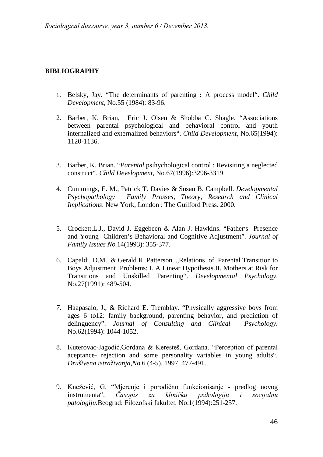### **BIBLIOGRAPHY**

- 1. Belsky, Jay. "The determinants of parenting **:** A process model". *Child Development*, No.55 (1984): 83-96.
- 2. Barber, K. Brian, Eric J. Olsen & Shobba C. Shagle. "Associations between parental psychological and behavioral control and youth internalized and externalized behaviors". *Child Development,* No.65(1994): 1120-1136.
- 3. Barber, K. Brian. "*Parental* psihychological control : Revisiting a neglected construct". *Child Development,* No*.*67(1996):3296-3319.
- 4. Cummings, E. M., Patrick T. Davies & Susan B. Campbell. *Developmental Psychopathology Family Prosses, Theory, Research and Clinical Implications*. New York, London : The Guilford Press. 2000.
- 5. Crockett,L.J., David J. Eggebeen & Alan J. Hawkins. "Father׳s Presence and Young Children's Behavioral and Cognitive Adjustment"*. Journal of Family Issues No.*14(1993): 355-377.
- 6. Capaldi, D.M., & Gerald R. Patterson. "Relations of Parental Transition to Boys Adjustment Problems: I. A Linear Hypothesis.II. Mothers at Risk for Transitions and Unskilled Parenting". *Developmental Psychology*. No.27(1991): 489-504.
- *7.* Haapasalo, J., & Richard E. Tremblay. "Physically aggressive boys from ages 6 to12: family background, parenting behavior, and prediction of delinguency". *Journal of Consulting and Clinical Psychology.*  No.62(1994): 1044-1052.
- 8. Kuterovac-Jagodić,Gordana & Keresteš, Gordana. "Perception of parental aceptance- rejection and some personality variables in young adults"*. Društvena istraživanja,No.*6 (4-5). 1997. 477-491.
- 9. Knežević, G. "Mjerenje i porodično funkcionisanje predlog novog instrumenta". Časopis za kliničku psihologiju i socijalnu instrumenta". *Časopis za kliničku psihologiju i socijalnu patologiju.*Beograd: Filozofski fakultet*.* No.1(1994):251-257.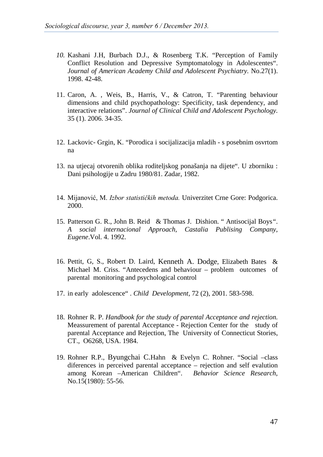- *10.* Kashani J.H, Burbach D.J., & Rosenberg T.K. "Perception of Family Conflict Resolution and Depressive Symptomatology in Adolescentes". *Journal of American Academy Child and Adolescent Psychiatry.* No.27(1). 1998. 42-48.
- 11. Caron, A. , Weis, B., Harris, V., & Catron, T. "Parenting behaviour dimensions and child psychopathology: Specificity, task dependency, and interactive relations". *Journal of Clinical Child and Adolescent Psychology.*  35 (1). 2006. 34-35.
- 12. Lackovic- Grgin, K. "Porodica i socijalizacija mladih s posebnim osvrtom na
- 13. na utjecaj otvorenih oblika roditeljskog ponašanja na dijete". U zborniku : Dani psihologije u Zadru 1980/81. Zadar, 1982.
- 14. Mijanović, M. *Izbor statističkih metoda.* Univerzitet Crne Gore: Podgorica. 2000.
- 15. Patterson G. R., John B. Reid & Thomas J. Dishion. " Antisocijal Boys*"*. *A social internacional Approach, Castalia Publising Company, Eugene*.Vol. 4. 1992.
- 16. Pettit, G, S., Robert D. Laird, Kenneth A. Dodge*,* Elizabeth Bates & Michael M. Criss. "Antecedens and behaviour – problem outcomes of parental monitoring and psychological control
- 17. in early adolescence" . *Child Development,* 72 (2), 2001. 583-598.
- 18. Rohner R. P. *Handbook for the study of parental Acceptance and rejection.*  Meassurement of parental Acceptance - Rejection Center for the study of parental Acceptance and Rejection, The University of Connecticut Stories, CT., O6268, USA. 1984.
- 19. Rohner R.P., Byungchai C.Hahn & Evelyn C. Rohner. "Social –class diferences in perceived parental acceptance – rejection and self evalution among Korean –American Children". *Behavior Science Research*, No.15(1980): 55-56.